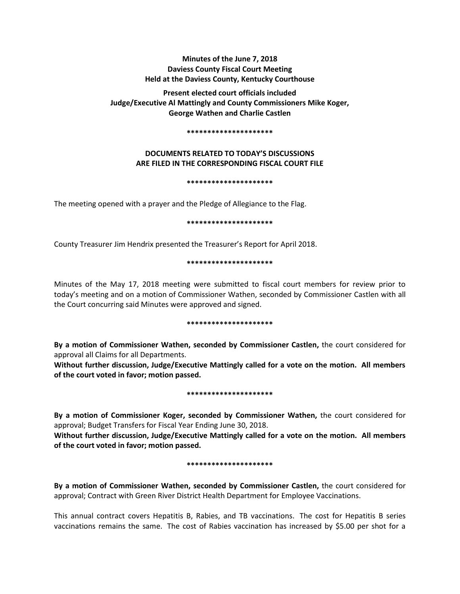# **Minutes of the June 7, 2018 Daviess County Fiscal Court Meeting Held at the Daviess County, Kentucky Courthouse**

**Present elected court officials included Judge/Executive Al Mattingly and County Commissioners Mike Koger, George Wathen and Charlie Castlen** 

#### **\*\*\*\*\*\*\*\*\*\*\*\*\*\*\*\*\*\*\*\*\***

# **DOCUMENTS RELATED TO TODAY'S DISCUSSIONS ARE FILED IN THE CORRESPONDING FISCAL COURT FILE**

## **\*\*\*\*\*\*\*\*\*\*\*\*\*\*\*\*\*\*\*\*\***

The meeting opened with a prayer and the Pledge of Allegiance to the Flag.

## **\*\*\*\*\*\*\*\*\*\*\*\*\*\*\*\*\*\*\*\*\***

County Treasurer Jim Hendrix presented the Treasurer's Report for April 2018.

## **\*\*\*\*\*\*\*\*\*\*\*\*\*\*\*\*\*\*\*\*\***

Minutes of the May 17, 2018 meeting were submitted to fiscal court members for review prior to today's meeting and on a motion of Commissioner Wathen, seconded by Commissioner Castlen with all the Court concurring said Minutes were approved and signed.

## **\*\*\*\*\*\*\*\*\*\*\*\*\*\*\*\*\*\*\*\*\***

**By a motion of Commissioner Wathen, seconded by Commissioner Castlen,** the court considered for approval all Claims for all Departments.

**Without further discussion, Judge/Executive Mattingly called for a vote on the motion. All members of the court voted in favor; motion passed.** 

# **\*\*\*\*\*\*\*\*\*\*\*\*\*\*\*\*\*\*\*\*\***

**By a motion of Commissioner Koger, seconded by Commissioner Wathen,** the court considered for approval; Budget Transfers for Fiscal Year Ending June 30, 2018.

**Without further discussion, Judge/Executive Mattingly called for a vote on the motion. All members of the court voted in favor; motion passed.**

## **\*\*\*\*\*\*\*\*\*\*\*\*\*\*\*\*\*\*\*\*\***

**By a motion of Commissioner Wathen, seconded by Commissioner Castlen,** the court considered for approval; Contract with Green River District Health Department for Employee Vaccinations.

This annual contract covers Hepatitis B, Rabies, and TB vaccinations. The cost for Hepatitis B series vaccinations remains the same. The cost of Rabies vaccination has increased by \$5.00 per shot for a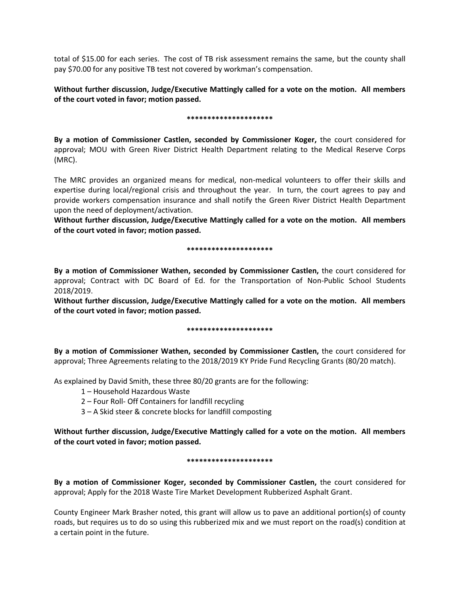total of \$15.00 for each series. The cost of TB risk assessment remains the same, but the county shall pay \$70.00 for any positive TB test not covered by workman's compensation.

**Without further discussion, Judge/Executive Mattingly called for a vote on the motion. All members of the court voted in favor; motion passed.** 

## **\*\*\*\*\*\*\*\*\*\*\*\*\*\*\*\*\*\*\*\*\***

**By a motion of Commissioner Castlen, seconded by Commissioner Koger,** the court considered for approval; MOU with Green River District Health Department relating to the Medical Reserve Corps (MRC).

The MRC provides an organized means for medical, non-medical volunteers to offer their skills and expertise during local/regional crisis and throughout the year. In turn, the court agrees to pay and provide workers compensation insurance and shall notify the Green River District Health Department upon the need of deployment/activation.

**Without further discussion, Judge/Executive Mattingly called for a vote on the motion. All members of the court voted in favor; motion passed.** 

## **\*\*\*\*\*\*\*\*\*\*\*\*\*\*\*\*\*\*\*\*\***

**By a motion of Commissioner Wathen, seconded by Commissioner Castlen,** the court considered for approval; Contract with DC Board of Ed. for the Transportation of Non-Public School Students 2018/2019.

**Without further discussion, Judge/Executive Mattingly called for a vote on the motion. All members of the court voted in favor; motion passed.** 

# **\*\*\*\*\*\*\*\*\*\*\*\*\*\*\*\*\*\*\*\*\***

**By a motion of Commissioner Wathen, seconded by Commissioner Castlen,** the court considered for approval; Three Agreements relating to the 2018/2019 KY Pride Fund Recycling Grants (80/20 match).

As explained by David Smith, these three 80/20 grants are for the following:

1 – Household Hazardous Waste

- 2 Four Roll- Off Containers for landfill recycling
- 3 A Skid steer & concrete blocks for landfill composting

**Without further discussion, Judge/Executive Mattingly called for a vote on the motion. All members of the court voted in favor; motion passed.** 

## **\*\*\*\*\*\*\*\*\*\*\*\*\*\*\*\*\*\*\*\*\***

**By a motion of Commissioner Koger, seconded by Commissioner Castlen,** the court considered for approval; Apply for the 2018 Waste Tire Market Development Rubberized Asphalt Grant.

County Engineer Mark Brasher noted, this grant will allow us to pave an additional portion(s) of county roads, but requires us to do so using this rubberized mix and we must report on the road(s) condition at a certain point in the future.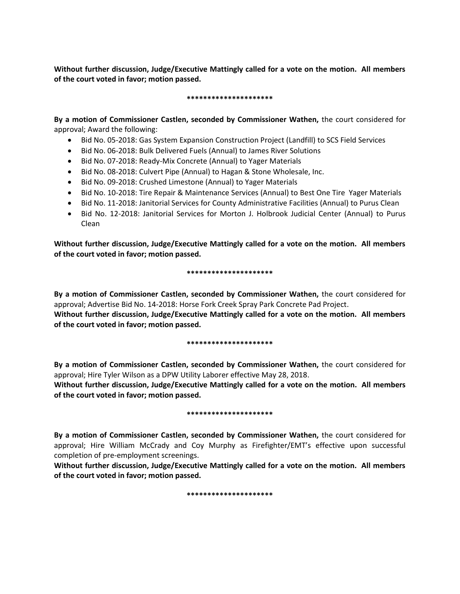**Without further discussion, Judge/Executive Mattingly called for a vote on the motion. All members of the court voted in favor; motion passed.** 

## **\*\*\*\*\*\*\*\*\*\*\*\*\*\*\*\*\*\*\*\*\***

**By a motion of Commissioner Castlen, seconded by Commissioner Wathen,** the court considered for approval; Award the following:

- Bid No. 05-2018: Gas System Expansion Construction Project (Landfill) to SCS Field Services
- Bid No. 06-2018: Bulk Delivered Fuels (Annual) to James River Solutions
- Bid No. 07-2018: Ready-Mix Concrete (Annual) to Yager Materials
- Bid No. 08-2018: Culvert Pipe (Annual) to Hagan & Stone Wholesale, Inc.
- Bid No. 09-2018: Crushed Limestone (Annual) to Yager Materials
- Bid No. 10-2018: Tire Repair & Maintenance Services (Annual) to Best One Tire Yager Materials
- Bid No. 11-2018: Janitorial Services for County Administrative Facilities (Annual) to Purus Clean
- Bid No. 12-2018: Janitorial Services for Morton J. Holbrook Judicial Center (Annual) to Purus Clean

**Without further discussion, Judge/Executive Mattingly called for a vote on the motion. All members of the court voted in favor; motion passed.** 

## **\*\*\*\*\*\*\*\*\*\*\*\*\*\*\*\*\*\*\*\*\***

**By a motion of Commissioner Castlen, seconded by Commissioner Wathen,** the court considered for approval; Advertise Bid No. 14-2018: Horse Fork Creek Spray Park Concrete Pad Project.

**Without further discussion, Judge/Executive Mattingly called for a vote on the motion. All members of the court voted in favor; motion passed.** 

# **\*\*\*\*\*\*\*\*\*\*\*\*\*\*\*\*\*\*\*\*\***

**By a motion of Commissioner Castlen, seconded by Commissioner Wathen,** the court considered for approval; Hire Tyler Wilson as a DPW Utility Laborer effective May 28, 2018.

**Without further discussion, Judge/Executive Mattingly called for a vote on the motion. All members of the court voted in favor; motion passed.** 

# **\*\*\*\*\*\*\*\*\*\*\*\*\*\*\*\*\*\*\*\*\***

**By a motion of Commissioner Castlen, seconded by Commissioner Wathen,** the court considered for approval; Hire William McCrady and Coy Murphy as Firefighter/EMT's effective upon successful completion of pre-employment screenings.

**Without further discussion, Judge/Executive Mattingly called for a vote on the motion. All members of the court voted in favor; motion passed.** 

# **\*\*\*\*\*\*\*\*\*\*\*\*\*\*\*\*\*\*\*\*\***